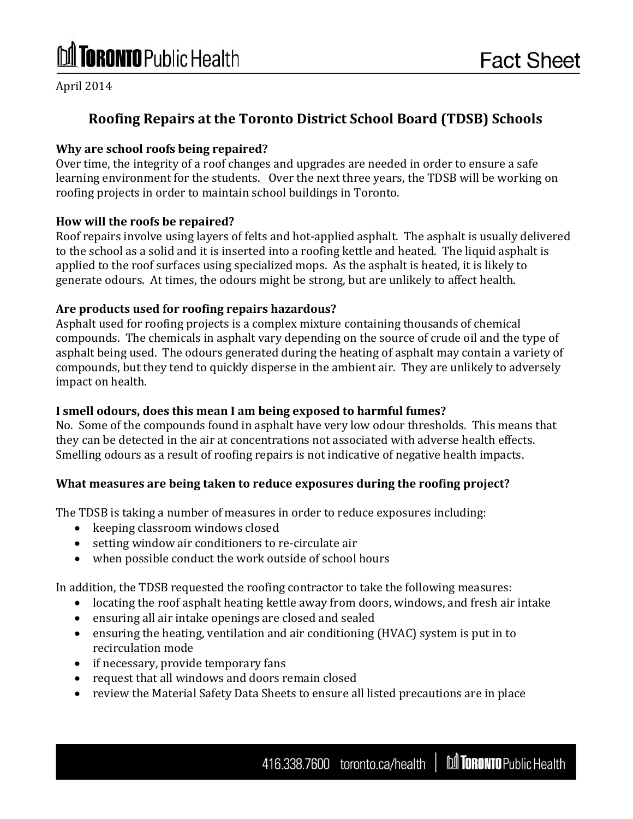# **Toronto** Public Health

April 2014

## **Roofing Repairs at the Toronto District School Board (TDSB) Schools**

#### **Why are school roofs being repaired?**

Over time, the integrity of a roof changes and upgrades are needed in order to ensure a safe learning environment for the students. Over the next three years, the TDSB will be working on roofing projects in order to maintain school buildings in Toronto.

#### **How will the roofs be repaired?**

Roof repairs involve using layers of felts and hot-applied asphalt. The asphalt is usually delivered to the school as a solid and it is inserted into a roofing kettle and heated. The liquid asphalt is applied to the roof surfaces using specialized mops. As the asphalt is heated, it is likely to generate odours. At times, the odours might be strong, but are unlikely to affect health.

#### **Are products used for roofing repairs hazardous?**

Asphalt used for roofing projects is a complex mixture containing thousands of chemical compounds. The chemicals in asphalt vary depending on the source of crude oil and the type of asphalt being used. The odours generated during the heating of asphalt may contain a variety of compounds, but they tend to quickly disperse in the ambient air. They are unlikely to adversely impact on health.

#### **I smell odours, does this mean I am being exposed to harmful fumes?**

No. Some of the compounds found in asphalt have very low odour thresholds. This means that they can be detected in the air at concentrations not associated with adverse health effects. Smelling odours as a result of roofing repairs is not indicative of negative health impacts.

#### **What measures are being taken to reduce exposures during the roofing project?**

The TDSB is taking a number of measures in order to reduce exposures including:

- keeping classroom windows closed
- setting window air conditioners to re-circulate air
- when possible conduct the work outside of school hours

In addition, the TDSB requested the roofing contractor to take the following measures:

- locating the roof asphalt heating kettle away from doors, windows, and fresh air intake
- ensuring all air intake openings are closed and sealed
- ensuring the heating, ventilation and air conditioning (HVAC) system is put in to recirculation mode
- if necessary, provide temporary fans
- request that all windows and doors remain closed
- review the Material Safety Data Sheets to ensure all listed precautions are in place